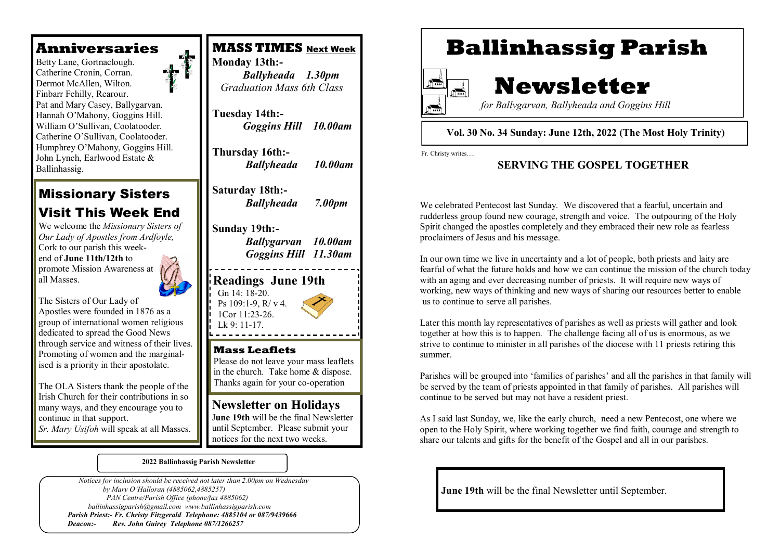## **Anniversaries**

 Finbarr Fehilly, Rearour. Betty Lane, Gortnaclough. Catherine Cronin, Corran. Dermot McAllen, Wilton. Pat and Mary Casey, Ballygarvan. Hannah O'Mahony, Goggins Hill. William O'Sullivan, Coolatooder. Catherine O'Sullivan, Coolatooder. Humphrey O'Mahony, Goggins Hill. John Lynch, Earlwood Estate & Ballinhassig.

# Missionary Sisters Visit This Week End

We welcome the *Missionary Sisters of Our Lady of Apostles from Ardfoyle,*  Cork to our parish this weekend of **June 11th/12th** to promote Mission Awareness at all Masses.

The Sisters of Our Lady of Apostles were founded in 1876 as a group of international women religious dedicated to spread the Good News through service and witness of their lives. Promoting of women and the marginalised is a priority in their apostolate.

The OLA Sisters thank the people of the Irish Church for their contributions in so many ways, and they encourage you to continue in that support.

*Sr. Mary Usifoh* will speak at all Masses.



 *Graduation Mass 6th Class*

**Tuesday 14th:-**  *Goggins Hill 10.00am* 

**Thursday 16th:-** *Ballyheada 10.00am*

**Saturday 18th:-** *Ballyheada 7.00pm*

### **Sunday 19th:-**

*Ballygarvan 10.00am Goggins Hill 11.30am*

**Readings June 19th** Gn 14: 18-20. Ps 109:1-9, R/ v 4. 1Cor 11:23-26.  $Lk$  9: 11-17

## **Mass Leaflets**

Please do not leave your mass leaflets in the church. Take home & dispose. Thanks again for your co-operation

## **Newsletter on Holidays**

J**une 19th** will be the final Newsletter until September. Please submit your notices for the next two weeks.

**2022 Ballinhassig Parish Newsletter**

 *Notices for inclusion should be received not later than 2.00pm on Wednesday by Mary O'Halloran (4885062,4885257) PAN Centre/Parish Office (phone/fax 4885062) ballinhassigparish@gmail.com www.ballinhassigparish.com Parish Priest:- Fr. Christy Fitzgerald Telephone: 4885104 or 087/9439666 Deacon:- Rev. John Guirey Telephone 087/1266257*

# **Ballinhassig Parish**



# **Newsletter**

 *for Ballygarvan, Ballyheada and Goggins Hill* 

#### **Vol. 30 No. 34 Sunday: June 12th, 2022 (The Most Holy Trinity)**

Fr. Christy writes….

### **SERVING THE GOSPEL TOGETHER**

We celebrated Pentecost last Sunday. We discovered that a fearful, uncertain and rudderless group found new courage, strength and voice. The outpouring of the Holy Spirit changed the apostles completely and they embraced their new role as fearless proclaimers of Jesus and his message.

In our own time we live in uncertainty and a lot of people, both priests and laity are fearful of what the future holds and how we can continue the mission of the church today with an aging and ever decreasing number of priests. It will require new ways of working, new ways of thinking and new ways of sharing our resources better to enable us to continue to serve all parishes.

Later this month lay representatives of parishes as well as priests will gather and look together at how this is to happen. The challenge facing all of us is enormous, as we strive to continue to minister in all parishes of the diocese with 11 priests retiring this summer.

Parishes will be grouped into 'families of parishes' and all the parishes in that family will be served by the team of priests appointed in that family of parishes. All parishes will continue to be served but may not have a resident priest.

As I said last Sunday, we, like the early church, need a new Pentecost, one where we open to the Holy Spirit, where working together we find faith, courage and strength to share our talents and gifts for the benefit of the Gospel and all in our parishes.

**June 19th** will be the final Newsletter until September.